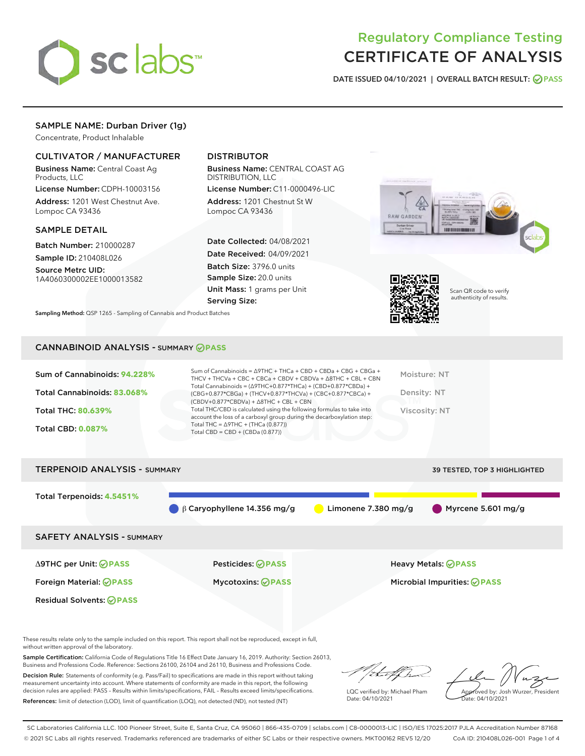

# Regulatory Compliance Testing CERTIFICATE OF ANALYSIS

DATE ISSUED 04/10/2021 | OVERALL BATCH RESULT: @ PASS

# SAMPLE NAME: Durban Driver (1g)

Concentrate, Product Inhalable

## CULTIVATOR / MANUFACTURER

Business Name: Central Coast Ag Products, LLC

License Number: CDPH-10003156 Address: 1201 West Chestnut Ave. Lompoc CA 93436

## SAMPLE DETAIL

Batch Number: 210000287 Sample ID: 210408L026

Source Metrc UID:

1A4060300002EE1000013582

# DISTRIBUTOR

Business Name: CENTRAL COAST AG DISTRIBUTION, LLC

License Number: C11-0000496-LIC Address: 1201 Chestnut St W Lompoc CA 93436

Date Collected: 04/08/2021 Date Received: 04/09/2021 Batch Size: 3796.0 units Sample Size: 20.0 units Unit Mass: 1 grams per Unit Serving Size:



Scan QR code to verify authenticity of results.

Sampling Method: QSP 1265 - Sampling of Cannabis and Product Batches

## CANNABINOID ANALYSIS - SUMMARY **PASS**

| Sum of Cannabinoids: 94.228%<br>Total Cannabinoids: 83.068%<br><b>Total THC: 80.639%</b><br><b>Total CBD: 0.087%</b> | Sum of Cannabinoids = $\triangle$ 9THC + THCa + CBD + CBDa + CBG + CBGa +<br>THCV + THCVa + CBC + CBCa + CBDV + CBDVa + $\land$ 8THC + CBL + CBN<br>Total Cannabinoids = $(\Delta$ 9THC+0.877*THCa) + (CBD+0.877*CBDa) +<br>$(CBG+0.877*CBGa) + (THCV+0.877*THCVa) + (CBC+0.877*CBCa) +$<br>$(CBDV+0.877*CBDVa) + \Delta 8THC + CBL + CBN$<br>Total THC/CBD is calculated using the following formulas to take into<br>account the loss of a carboxyl group during the decarboxylation step:<br>Total THC = $\triangle$ 9THC + (THCa (0.877))<br>Total CBD = $CBD + (CBDa (0.877))$ | Moisture: NT<br>Density: NT<br>Viscosity: NT |
|----------------------------------------------------------------------------------------------------------------------|-------------------------------------------------------------------------------------------------------------------------------------------------------------------------------------------------------------------------------------------------------------------------------------------------------------------------------------------------------------------------------------------------------------------------------------------------------------------------------------------------------------------------------------------------------------------------------------|----------------------------------------------|
|                                                                                                                      |                                                                                                                                                                                                                                                                                                                                                                                                                                                                                                                                                                                     |                                              |
| <b>TERPENOID ANALYSIS - SUMMARY</b>                                                                                  |                                                                                                                                                                                                                                                                                                                                                                                                                                                                                                                                                                                     | <b>39 TESTED, TOP 3 HIGHLIGHTED</b>          |

Total Terpenoids: **4.5451%** β Caryophyllene 14.356 mg/g Limonene 7.380 mg/g Myrcene 5.601 mg/g SAFETY ANALYSIS - SUMMARY Δ9THC per Unit: **PASS** Pesticides: **PASS** Heavy Metals: **PASS** Foreign Material: **PASS** Mycotoxins: **PASS** Microbial Impurities: **PASS** Residual Solvents: **PASS** 

These results relate only to the sample included on this report. This report shall not be reproduced, except in full, without written approval of the laboratory.

Sample Certification: California Code of Regulations Title 16 Effect Date January 16, 2019. Authority: Section 26013, Business and Professions Code. Reference: Sections 26100, 26104 and 26110, Business and Professions Code.

Decision Rule: Statements of conformity (e.g. Pass/Fail) to specifications are made in this report without taking measurement uncertainty into account. Where statements of conformity are made in this report, the following decision rules are applied: PASS – Results within limits/specifications, FAIL – Results exceed limits/specifications. References: limit of detection (LOD), limit of quantification (LOQ), not detected (ND), not tested (NT)

LQC verified by: Michael Pham Date: 04/10/2021

Approved by: Josh Wurzer, President ate: 04/10/2021

SC Laboratories California LLC. 100 Pioneer Street, Suite E, Santa Cruz, CA 95060 | 866-435-0709 | sclabs.com | C8-0000013-LIC | ISO/IES 17025:2017 PJLA Accreditation Number 87168 © 2021 SC Labs all rights reserved. Trademarks referenced are trademarks of either SC Labs or their respective owners. MKT00162 REV5 12/20 CoA ID: 210408L026-001 Page 1 of 4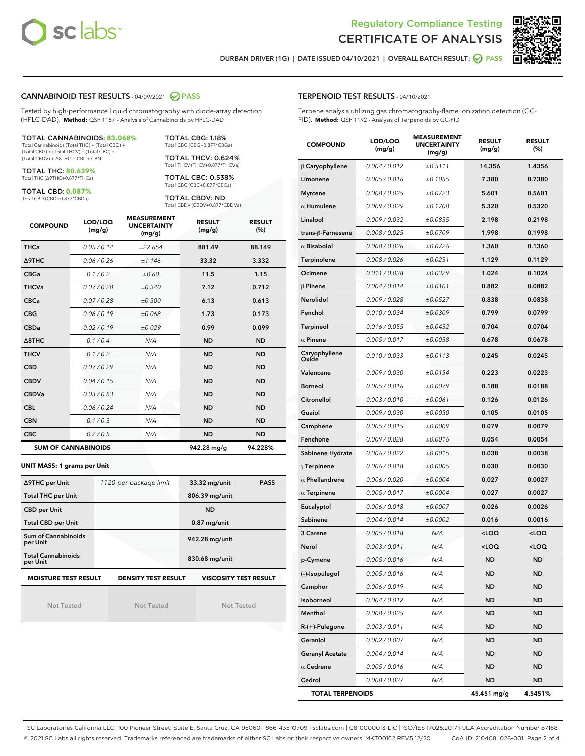



DURBAN DRIVER (1G) | DATE ISSUED 04/10/2021 | OVERALL BATCH RESULT: **⊘** PASS

## CANNABINOID TEST RESULTS - 04/09/2021 2 PASS

Tested by high-performance liquid chromatography with diode-array detection (HPLC-DAD). **Method:** QSP 1157 - Analysis of Cannabinoids by HPLC-DAD

#### TOTAL CANNABINOIDS: **83.068%**

Total Cannabinoids (Total THC) + (Total CBD) + (Total CBG) + (Total THCV) + (Total CBC) + (Total CBDV) + ∆8THC + CBL + CBN

TOTAL THC: **80.639%** Total THC (∆9THC+0.877\*THCa)

TOTAL CBD: **0.087%**

Total CBD (CBD+0.877\*CBDa)

TOTAL CBG: 1.18% Total CBG (CBG+0.877\*CBGa) TOTAL THCV: 0.624%

Total THCV (THCV+0.877\*THCVa)

TOTAL CBC: 0.538% Total CBC (CBC+0.877\*CBCa)

TOTAL CBDV: ND Total CBDV (CBDV+0.877\*CBDVa)

| <b>COMPOUND</b> | LOD/LOQ<br>(mg/g)          | <b>MEASUREMENT</b><br><b>UNCERTAINTY</b><br>(mg/g) | <b>RESULT</b><br>(mg/g) | <b>RESULT</b><br>(%) |
|-----------------|----------------------------|----------------------------------------------------|-------------------------|----------------------|
| <b>THCa</b>     | 0.05/0.14                  | ±22.654                                            | 881.49                  | 88.149               |
| <b>A9THC</b>    | 0.06 / 0.26                | ±1.146                                             | 33.32                   | 3.332                |
| <b>CBGa</b>     | 0.1/0.2                    | ±0.60                                              | 11.5                    | 1.15                 |
| <b>THCVa</b>    | 0.07 / 0.20                | ±0.340                                             | 7.12                    | 0.712                |
| <b>CBCa</b>     | 0.07/0.28                  | ±0.300                                             | 6.13                    | 0.613                |
| <b>CBG</b>      | 0.06/0.19                  | ±0.068                                             | 1.73                    | 0.173                |
| <b>CBDa</b>     | 0.02/0.19                  | ±0.029                                             | 0.99                    | 0.099                |
| A8THC           | 0.1/0.4                    | N/A                                                | <b>ND</b>               | <b>ND</b>            |
| <b>THCV</b>     | 0.1/0.2                    | N/A                                                | <b>ND</b>               | <b>ND</b>            |
| <b>CBD</b>      | 0.07/0.29                  | N/A                                                | <b>ND</b>               | <b>ND</b>            |
| <b>CBDV</b>     | 0.04 / 0.15                | N/A                                                | <b>ND</b>               | <b>ND</b>            |
| <b>CBDVa</b>    | 0.03/0.53                  | N/A                                                | <b>ND</b>               | <b>ND</b>            |
| <b>CBL</b>      | 0.06 / 0.24                | N/A                                                | <b>ND</b>               | <b>ND</b>            |
| <b>CBN</b>      | 0.1/0.3                    | N/A                                                | <b>ND</b>               | <b>ND</b>            |
| <b>CBC</b>      | 0.2 / 0.5                  | N/A                                                | <b>ND</b>               | <b>ND</b>            |
|                 | <b>SUM OF CANNABINOIDS</b> |                                                    | 942.28 mg/g             | 94.228%              |

#### **UNIT MASS: 1 grams per Unit**

| ∆9THC per Unit                        | 1120 per-package limit     | 33.32 mg/unit<br><b>PASS</b> |  |
|---------------------------------------|----------------------------|------------------------------|--|
| <b>Total THC per Unit</b>             |                            | 806.39 mg/unit               |  |
| <b>CBD per Unit</b>                   |                            | <b>ND</b>                    |  |
| <b>Total CBD per Unit</b>             |                            | $0.87$ mg/unit               |  |
| Sum of Cannabinoids<br>per Unit       |                            | 942.28 mg/unit               |  |
| <b>Total Cannabinoids</b><br>per Unit |                            | 830.68 mg/unit               |  |
| <b>MOISTURE TEST RESULT</b>           | <b>DENSITY TEST RESULT</b> | <b>VISCOSITY TEST RESULT</b> |  |

Not Tested

Not Tested

Not Tested

#### TERPENOID TEST RESULTS - 04/10/2021

Terpene analysis utilizing gas chromatography-flame ionization detection (GC-FID). **Method:** QSP 1192 - Analysis of Terpenoids by GC-FID

| <b>COMPOUND</b>         | LOD/LOQ<br>(mg/g) | <b>MEASUREMENT</b><br><b>UNCERTAINTY</b><br>(mg/g) | <b>RESULT</b><br>(mg/g)                         | <b>RESULT</b><br>(%) |
|-------------------------|-------------------|----------------------------------------------------|-------------------------------------------------|----------------------|
| $\beta$ Caryophyllene   | 0.004 / 0.012     | ±0.5111                                            | 14.356                                          | 1.4356               |
| Limonene                | 0.005 / 0.016     | ±0.1055                                            | 7.380                                           | 0.7380               |
| <b>Myrcene</b>          | 0.008 / 0.025     | ±0.0723                                            | 5.601                                           | 0.5601               |
| $\alpha$ Humulene       | 0.009 / 0.029     | ±0.1708                                            | 5.320                                           | 0.5320               |
| Linalool                | 0.009 / 0.032     | ±0.0835                                            | 2.198                                           | 0.2198               |
| trans-ß-Farnesene       | 0.008 / 0.025     | ±0.0709                                            | 1.998                                           | 0.1998               |
| $\alpha$ Bisabolol      | 0.008 / 0.026     | ±0.0726                                            | 1.360                                           | 0.1360               |
| Terpinolene             | 0.008 / 0.026     | ±0.0231                                            | 1.129                                           | 0.1129               |
| Ocimene                 | 0.011 / 0.038     | ±0.0329                                            | 1.024                                           | 0.1024               |
| $\beta$ Pinene          | 0.004 / 0.014     | ±0.0101                                            | 0.882                                           | 0.0882               |
| Nerolidol               | 0.009 / 0.028     | ±0.0527                                            | 0.838                                           | 0.0838               |
| Fenchol                 | 0.010 / 0.034     | ±0.0309                                            | 0.799                                           | 0.0799               |
| Terpineol               | 0.016 / 0.055     | ±0.0432                                            | 0.704                                           | 0.0704               |
| $\alpha$ Pinene         | 0.005 / 0.017     | ±0.0058                                            | 0.678                                           | 0.0678               |
| Caryophyllene<br>Oxide  | 0.010 / 0.033     | ±0.0113                                            | 0.245                                           | 0.0245               |
| Valencene               | 0.009 / 0.030     | ±0.0154                                            | 0.223                                           | 0.0223               |
| <b>Borneol</b>          | 0.005 / 0.016     | ±0.0079                                            | 0.188                                           | 0.0188               |
| Citronellol             | 0.003 / 0.010     | ±0.0061                                            | 0.126                                           | 0.0126               |
| Guaiol                  | 0.009 / 0.030     | ±0.0050                                            | 0.105                                           | 0.0105               |
| Camphene                | 0.005 / 0.015     | ±0.0009                                            | 0.079                                           | 0.0079               |
| Fenchone                | 0.009 / 0.028     | ±0.0016                                            | 0.054                                           | 0.0054               |
| Sabinene Hydrate        | 0.006 / 0.022     | ±0.0015                                            | 0.038                                           | 0.0038               |
| $\gamma$ Terpinene      | 0.006 / 0.018     | ±0.0005                                            | 0.030                                           | 0.0030               |
| $\alpha$ Phellandrene   | 0.006 / 0.020     | ±0.0004                                            | 0.027                                           | 0.0027               |
| $\alpha$ Terpinene      | 0.005 / 0.017     | ±0.0004                                            | 0.027                                           | 0.0027               |
| Eucalyptol              | 0.006 / 0.018     | ±0.0007                                            | 0.026                                           | 0.0026               |
| Sabinene                | 0.004 / 0.014     | ±0.0002                                            | 0.016                                           | 0.0016               |
| 3 Carene                | 0.005 / 0.018     | N/A                                                | <loq< th=""><th><loq< th=""></loq<></th></loq<> | <loq< th=""></loq<>  |
| Nerol                   | 0.003 / 0.011     | N/A                                                | <loq< th=""><th><loq< th=""></loq<></th></loq<> | <loq< th=""></loq<>  |
| p-Cymene                | 0.005 / 0.016     | N/A                                                | <b>ND</b>                                       | <b>ND</b>            |
| (-)-Isopulegol          | 0.005 / 0.016     | N/A                                                | ND                                              | ND                   |
| Camphor                 | 0.006 / 0.019     | N/A                                                | ND                                              | ND                   |
| Isoborneol              | 0.004 / 0.012     | N/A                                                | <b>ND</b>                                       | ND                   |
| Menthol                 | 0.008 / 0.025     | N/A                                                | <b>ND</b>                                       | <b>ND</b>            |
| R-(+)-Pulegone          | 0.003 / 0.011     | N/A                                                | ND                                              | ND                   |
| Geraniol                | 0.002 / 0.007     | N/A                                                | ND                                              | ND                   |
| <b>Geranyl Acetate</b>  | 0.004 / 0.014     | N/A                                                | <b>ND</b>                                       | <b>ND</b>            |
| $\alpha$ Cedrene        | 0.005 / 0.016     | N/A                                                | ND                                              | ND                   |
| Cedrol                  | 0.008 / 0.027     | N/A                                                | <b>ND</b>                                       | ND                   |
| <b>TOTAL TERPENOIDS</b> |                   |                                                    | 45.451 mg/g                                     | 4.5451%              |

SC Laboratories California LLC. 100 Pioneer Street, Suite E, Santa Cruz, CA 95060 | 866-435-0709 | sclabs.com | C8-0000013-LIC | ISO/IES 17025:2017 PJLA Accreditation Number 87168 © 2021 SC Labs all rights reserved. Trademarks referenced are trademarks of either SC Labs or their respective owners. MKT00162 REV5 12/20 CoA ID: 210408L026-001 Page 2 of 4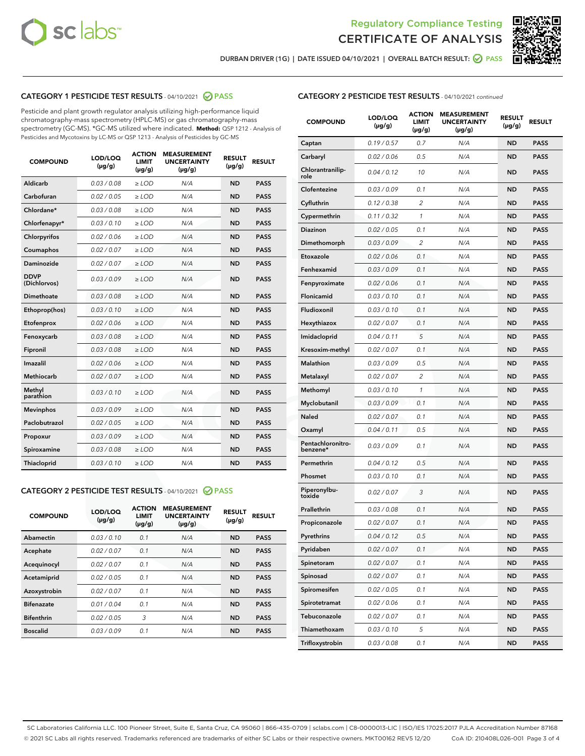



DURBAN DRIVER (1G) | DATE ISSUED 04/10/2021 | OVERALL BATCH RESULT: ● PASS

## CATEGORY 1 PESTICIDE TEST RESULTS - 04/10/2021 @ PASS

Pesticide and plant growth regulator analysis utilizing high-performance liquid chromatography-mass spectrometry (HPLC-MS) or gas chromatography-mass spectrometry (GC-MS). \*GC-MS utilized where indicated. **Method:** QSP 1212 - Analysis of Pesticides and Mycotoxins by LC-MS or QSP 1213 - Analysis of Pesticides by GC-MS

| <b>COMPOUND</b>             | LOD/LOQ<br>$(\mu g/g)$ | <b>ACTION</b><br>LIMIT<br>$(\mu g/g)$ | <b>MEASUREMENT</b><br><b>UNCERTAINTY</b><br>$(\mu g/g)$ | <b>RESULT</b><br>$(\mu g/g)$ | <b>RESULT</b> |
|-----------------------------|------------------------|---------------------------------------|---------------------------------------------------------|------------------------------|---------------|
| Aldicarb                    | 0.03/0.08              | $>$ LOD                               | N/A                                                     | <b>ND</b>                    | <b>PASS</b>   |
| Carbofuran                  | 0.02/0.05              | $>$ LOD                               | N/A                                                     | <b>ND</b>                    | <b>PASS</b>   |
| Chlordane*                  | 0.03 / 0.08            | $\ge$ LOD                             | N/A                                                     | <b>ND</b>                    | <b>PASS</b>   |
| Chlorfenapyr*               | 0.03/0.10              | $\ge$ LOD                             | N/A                                                     | <b>ND</b>                    | <b>PASS</b>   |
| Chlorpyrifos                | 0.02 / 0.06            | $\ge$ LOD                             | N/A                                                     | <b>ND</b>                    | <b>PASS</b>   |
| Coumaphos                   | 0.02 / 0.07            | $\ge$ LOD                             | N/A                                                     | <b>ND</b>                    | <b>PASS</b>   |
| Daminozide                  | 0.02/0.07              | $>$ LOD                               | N/A                                                     | <b>ND</b>                    | <b>PASS</b>   |
| <b>DDVP</b><br>(Dichlorvos) | 0.03/0.09              | $\ge$ LOD                             | N/A                                                     | <b>ND</b>                    | <b>PASS</b>   |
| <b>Dimethoate</b>           | 0.03 / 0.08            | $\ge$ LOD                             | N/A                                                     | <b>ND</b>                    | <b>PASS</b>   |
| Ethoprop(hos)               | 0.03/0.10              | $\ge$ LOD                             | N/A                                                     | <b>ND</b>                    | <b>PASS</b>   |
| Etofenprox                  | 0.02/0.06              | $>$ LOD                               | N/A                                                     | <b>ND</b>                    | <b>PASS</b>   |
| Fenoxycarb                  | 0.03 / 0.08            | $\ge$ LOD                             | N/A                                                     | <b>ND</b>                    | <b>PASS</b>   |
| Fipronil                    | 0.03 / 0.08            | $\ge$ LOD                             | N/A                                                     | <b>ND</b>                    | <b>PASS</b>   |
| Imazalil                    | 0.02 / 0.06            | $\ge$ LOD                             | N/A                                                     | <b>ND</b>                    | <b>PASS</b>   |
| <b>Methiocarb</b>           | 0.02 / 0.07            | $\ge$ LOD                             | N/A                                                     | <b>ND</b>                    | <b>PASS</b>   |
| Methyl<br>parathion         | 0.03/0.10              | $\ge$ LOD                             | N/A                                                     | <b>ND</b>                    | <b>PASS</b>   |
| <b>Mevinphos</b>            | 0.03/0.09              | $>$ LOD                               | N/A                                                     | <b>ND</b>                    | <b>PASS</b>   |
| Paclobutrazol               | 0.02 / 0.05            | $\ge$ LOD                             | N/A                                                     | <b>ND</b>                    | <b>PASS</b>   |
| Propoxur                    | 0.03/0.09              | $\ge$ LOD                             | N/A                                                     | <b>ND</b>                    | <b>PASS</b>   |
| Spiroxamine                 | 0.03 / 0.08            | $\ge$ LOD                             | N/A                                                     | <b>ND</b>                    | <b>PASS</b>   |
| <b>Thiacloprid</b>          | 0.03/0.10              | $\ge$ LOD                             | N/A                                                     | <b>ND</b>                    | <b>PASS</b>   |
|                             |                        |                                       |                                                         |                              |               |

## CATEGORY 2 PESTICIDE TEST RESULTS - 04/10/2021 @ PASS

| <b>COMPOUND</b>   | LOD/LOQ<br>$(\mu g/g)$ | <b>ACTION</b><br><b>LIMIT</b><br>$(\mu g/g)$ | <b>MEASUREMENT</b><br><b>UNCERTAINTY</b><br>$(\mu g/g)$ | <b>RESULT</b><br>$(\mu g/g)$ | <b>RESULT</b> |
|-------------------|------------------------|----------------------------------------------|---------------------------------------------------------|------------------------------|---------------|
| Abamectin         | 0.03/0.10              | 0.1                                          | N/A                                                     | <b>ND</b>                    | <b>PASS</b>   |
| Acephate          | 0.02/0.07              | 0.1                                          | N/A                                                     | <b>ND</b>                    | <b>PASS</b>   |
| Acequinocyl       | 0.02/0.07              | 0.1                                          | N/A                                                     | <b>ND</b>                    | <b>PASS</b>   |
| Acetamiprid       | 0.02/0.05              | 0.1                                          | N/A                                                     | <b>ND</b>                    | <b>PASS</b>   |
| Azoxystrobin      | 0.02/0.07              | 0.1                                          | N/A                                                     | <b>ND</b>                    | <b>PASS</b>   |
| <b>Bifenazate</b> | 0.01/0.04              | 0.1                                          | N/A                                                     | <b>ND</b>                    | <b>PASS</b>   |
| <b>Bifenthrin</b> | 0.02/0.05              | 3                                            | N/A                                                     | <b>ND</b>                    | <b>PASS</b>   |
| <b>Boscalid</b>   | 0.03/0.09              | 0.1                                          | N/A                                                     | <b>ND</b>                    | <b>PASS</b>   |

## CATEGORY 2 PESTICIDE TEST RESULTS - 04/10/2021 continued

| <b>COMPOUND</b>               | <b>LOD/LOQ</b><br>$(\mu g/g)$ | <b>ACTION</b><br><b>LIMIT</b><br>(µg/g) | <b>MEASUREMENT</b><br><b>UNCERTAINTY</b><br>(µg/g) | <b>RESULT</b><br>(µg/g) | <b>RESULT</b> |
|-------------------------------|-------------------------------|-----------------------------------------|----------------------------------------------------|-------------------------|---------------|
| Captan                        | 0.19/0.57                     | 0.7                                     | N/A                                                | ND                      | <b>PASS</b>   |
| Carbaryl                      | 0.02 / 0.06                   | 0.5                                     | N/A                                                | ND                      | <b>PASS</b>   |
| Chlorantranilip-<br>role      | 0.04 / 0.12                   | 10                                      | N/A                                                | ND                      | <b>PASS</b>   |
| Clofentezine                  | 0.03/0.09                     | 0.1                                     | N/A                                                | <b>ND</b>               | <b>PASS</b>   |
| Cyfluthrin                    | 0.12 / 0.38                   | $\overline{2}$                          | N/A                                                | ND                      | <b>PASS</b>   |
| Cypermethrin                  | 0.11/0.32                     | $\mathbf{1}$                            | N/A                                                | ND                      | <b>PASS</b>   |
| <b>Diazinon</b>               | 0.02 / 0.05                   | 0.1                                     | N/A                                                | ND                      | <b>PASS</b>   |
| Dimethomorph                  | 0.03 / 0.09                   | 2                                       | N/A                                                | ND                      | <b>PASS</b>   |
| Etoxazole                     | 0.02 / 0.06                   | 0.1                                     | N/A                                                | ND                      | <b>PASS</b>   |
| Fenhexamid                    | 0.03 / 0.09                   | 0.1                                     | N/A                                                | ND                      | <b>PASS</b>   |
| Fenpyroximate                 | 0.02 / 0.06                   | 0.1                                     | N/A                                                | ND                      | <b>PASS</b>   |
| Flonicamid                    | 0.03 / 0.10                   | 0.1                                     | N/A                                                | ND                      | <b>PASS</b>   |
| Fludioxonil                   | 0.03/0.10                     | 0.1                                     | N/A                                                | ND                      | <b>PASS</b>   |
| Hexythiazox                   | 0.02 / 0.07                   | 0.1                                     | N/A                                                | ND                      | <b>PASS</b>   |
| Imidacloprid                  | 0.04 / 0.11                   | 5                                       | N/A                                                | ND                      | <b>PASS</b>   |
| Kresoxim-methyl               | 0.02 / 0.07                   | 0.1                                     | N/A                                                | ND                      | <b>PASS</b>   |
| <b>Malathion</b>              | 0.03 / 0.09                   | 0.5                                     | N/A                                                | ND                      | <b>PASS</b>   |
| Metalaxyl                     | 0.02 / 0.07                   | 2                                       | N/A                                                | ND                      | <b>PASS</b>   |
| Methomyl                      | 0.03 / 0.10                   | 1                                       | N/A                                                | ND                      | <b>PASS</b>   |
| Myclobutanil                  | 0.03 / 0.09                   | 0.1                                     | N/A                                                | ND                      | <b>PASS</b>   |
| Naled                         | 0.02 / 0.07                   | 0.1                                     | N/A                                                | ND                      | <b>PASS</b>   |
| Oxamyl                        | 0.04 / 0.11                   | 0.5                                     | N/A                                                | ND                      | <b>PASS</b>   |
| Pentachloronitro-<br>benzene* | 0.03 / 0.09                   | 0.1                                     | N/A                                                | ND                      | PASS          |
| Permethrin                    | 0.04 / 0.12                   | 0.5                                     | N/A                                                | ND                      | <b>PASS</b>   |
| Phosmet                       | 0.03 / 0.10                   | 0.1                                     | N/A                                                | ND                      | <b>PASS</b>   |
| Piperonylbu-<br>toxide        | 0.02 / 0.07                   | 3                                       | N/A                                                | ND                      | <b>PASS</b>   |
| Prallethrin                   | 0.03 / 0.08                   | 0.1                                     | N/A                                                | ND                      | <b>PASS</b>   |
| Propiconazole                 | 0.02 / 0.07                   | 0.1                                     | N/A                                                | ND                      | <b>PASS</b>   |
| Pyrethrins                    | 0.04 / 0.12                   | 0.5                                     | N/A                                                | ND                      | PASS          |
| Pyridaben                     | 0.02 / 0.07                   | 0.1                                     | N/A                                                | ND                      | PASS          |
| Spinetoram                    | 0.02 / 0.07                   | 0.1                                     | N/A                                                | ND                      | <b>PASS</b>   |
| Spinosad                      | 0.02 / 0.07                   | 0.1                                     | N/A                                                | ND                      | <b>PASS</b>   |
| Spiromesifen                  | 0.02 / 0.05                   | 0.1                                     | N/A                                                | <b>ND</b>               | <b>PASS</b>   |
| Spirotetramat                 | 0.02 / 0.06                   | 0.1                                     | N/A                                                | <b>ND</b>               | <b>PASS</b>   |
| Tebuconazole                  | 0.02 / 0.07                   | 0.1                                     | N/A                                                | ND                      | <b>PASS</b>   |
| Thiamethoxam                  | 0.03 / 0.10                   | 5                                       | N/A                                                | ND                      | <b>PASS</b>   |
| Trifloxystrobin               | 0.03 / 0.08                   | 0.1                                     | N/A                                                | <b>ND</b>               | <b>PASS</b>   |